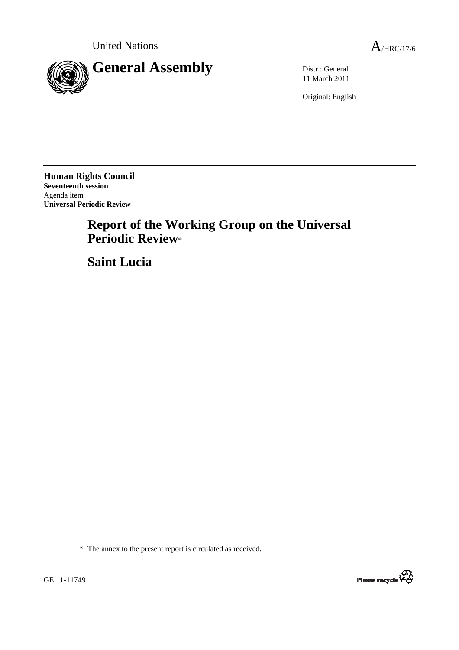

11 March 2011

Original: English

**Human Rights Council Seventeenth session**  Agenda item **Universal Periodic Review** 

## **Report of the Working Group on the Universal Periodic Review**\*

 **Saint Lucia**

\* The annex to the present report is circulated as received.

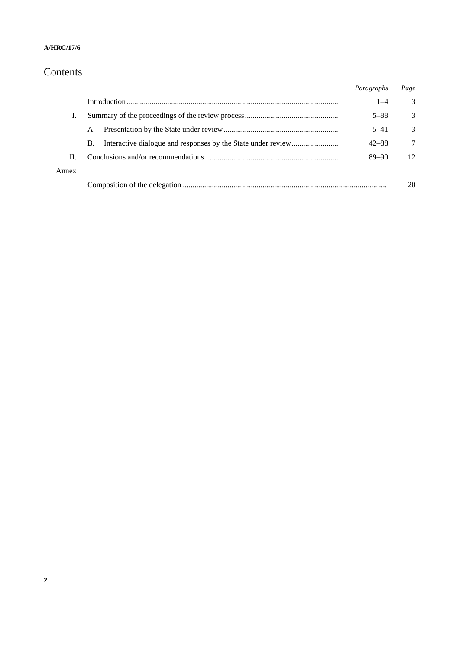## Contents

|       |    | Paragraphs | Page |
|-------|----|------------|------|
|       |    | $1 - 4$    | 3    |
| T.    |    | $5 - 88$   | 3    |
|       | A. | $5 - 41$   | 3    |
|       | B. | $42 - 88$  | 7    |
| П.    |    | $89 - 90$  | 12   |
| Annex |    |            |      |
|       |    |            | 20   |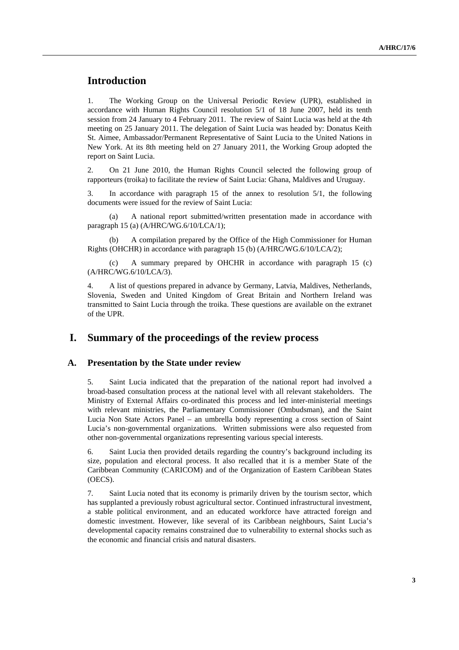## **Introduction**

1. The Working Group on the Universal Periodic Review (UPR), established in accordance with Human Rights Council resolution 5/1 of 18 June 2007, held its tenth session from 24 January to 4 February 2011. The review of Saint Lucia was held at the 4th meeting on 25 January 2011. The delegation of Saint Lucia was headed by: Donatus Keith St. Aimee, Ambassador/Permanent Representative of Saint Lucia to the United Nations in New York. At its 8th meeting held on 27 January 2011, the Working Group adopted the report on Saint Lucia.

2. On 21 June 2010, the Human Rights Council selected the following group of rapporteurs (troika) to facilitate the review of Saint Lucia: Ghana, Maldives and Uruguay.

3. In accordance with paragraph 15 of the annex to resolution 5/1, the following documents were issued for the review of Saint Lucia:

 (a) A national report submitted/written presentation made in accordance with paragraph 15 (a) (A/HRC/WG.6/10/LCA/1);

A compilation prepared by the Office of the High Commissioner for Human Rights (OHCHR) in accordance with paragraph 15 (b) (A/HRC/WG.6/10/LCA/2);

 (c) A summary prepared by OHCHR in accordance with paragraph 15 (c) (A/HRC/WG.6/10/LCA/3).

4. A list of questions prepared in advance by Germany, Latvia, Maldives, Netherlands, Slovenia, Sweden and United Kingdom of Great Britain and Northern Ireland was transmitted to Saint Lucia through the troika. These questions are available on the extranet of the UPR.

#### **I. Summary of the proceedings of the review process**

#### **A. Presentation by the State under review**

5. Saint Lucia indicated that the preparation of the national report had involved a broad-based consultation process at the national level with all relevant stakeholders. The Ministry of External Affairs co-ordinated this process and led inter-ministerial meetings with relevant ministries, the Parliamentary Commissioner (Ombudsman), and the Saint Lucia Non State Actors Panel – an umbrella body representing a cross section of Saint Lucia's non-governmental organizations. Written submissions were also requested from other non-governmental organizations representing various special interests.

6. Saint Lucia then provided details regarding the country's background including its size, population and electoral process. It also recalled that it is a member State of the Caribbean Community (CARICOM) and of the Organization of Eastern Caribbean States (OECS).

7. Saint Lucia noted that its economy is primarily driven by the tourism sector, which has supplanted a previously robust agricultural sector. Continued infrastructural investment, a stable political environment, and an educated workforce have attracted foreign and domestic investment. However, like several of its Caribbean neighbours, Saint Lucia's developmental capacity remains constrained due to vulnerability to external shocks such as the economic and financial crisis and natural disasters.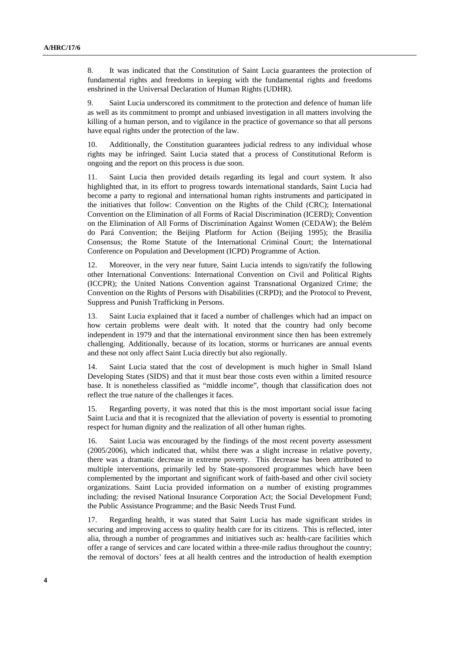8. It was indicated that the Constitution of Saint Lucia guarantees the protection of fundamental rights and freedoms in keeping with the fundamental rights and freedoms enshrined in the Universal Declaration of Human Rights (UDHR).

9. Saint Lucia underscored its commitment to the protection and defence of human life as well as its commitment to prompt and unbiased investigation in all matters involving the killing of a human person, and to vigilance in the practice of governance so that all persons have equal rights under the protection of the law.

10. Additionally, the Constitution guarantees judicial redress to any individual whose rights may be infringed. Saint Lucia stated that a process of Constitutional Reform is ongoing and the report on this process is due soon.

11. Saint Lucia then provided details regarding its legal and court system. It also highlighted that, in its effort to progress towards international standards, Saint Lucia had become a party to regional and international human rights instruments and participated in the initiatives that follow: Convention on the Rights of the Child (CRC); International Convention on the Elimination of all Forms of Racial Discrimination (ICERD); Convention on the Elimination of All Forms of Discrimination Against Women (CEDAW); the Belém do Pará Convention; the Beijing Platform for Action (Beijing 1995); the Brasilia Consensus; the Rome Statute of the International Criminal Court; the International Conference on Population and Development (ICPD) Programme of Action.

12. Moreover, in the very near future, Saint Lucia intends to sign/ratify the following other International Conventions: International Convention on Civil and Political Rights (ICCPR); the United Nations Convention against Transnational Organized Crime; the Convention on the Rights of Persons with Disabilities (CRPD); and the Protocol to Prevent, Suppress and Punish Trafficking in Persons.

13. Saint Lucia explained that it faced a number of challenges which had an impact on how certain problems were dealt with. It noted that the country had only become independent in 1979 and that the international environment since then has been extremely challenging. Additionally, because of its location, storms or hurricanes are annual events and these not only affect Saint Lucia directly but also regionally.

14. Saint Lucia stated that the cost of development is much higher in Small Island Developing States (SIDS) and that it must bear those costs even within a limited resource base. It is nonetheless classified as "middle income", though that classification does not reflect the true nature of the challenges it faces.

15. Regarding poverty, it was noted that this is the most important social issue facing Saint Lucia and that it is recognized that the alleviation of poverty is essential to promoting respect for human dignity and the realization of all other human rights.

16. Saint Lucia was encouraged by the findings of the most recent poverty assessment (2005/2006), which indicated that, whilst there was a slight increase in relative poverty, there was a dramatic decrease in extreme poverty. This decrease has been attributed to multiple interventions, primarily led by State-sponsored programmes which have been complemented by the important and significant work of faith-based and other civil society organizations. Saint Lucia provided information on a number of existing programmes including: the revised National Insurance Corporation Act; the Social Development Fund; the Public Assistance Programme; and the Basic Needs Trust Fund.

17. Regarding health, it was stated that Saint Lucia has made significant strides in securing and improving access to quality health care for its citizens. This is reflected, inter alia, through a number of programmes and initiatives such as: health-care facilities which offer a range of services and care located within a three-mile radius throughout the country; the removal of doctors' fees at all health centres and the introduction of health exemption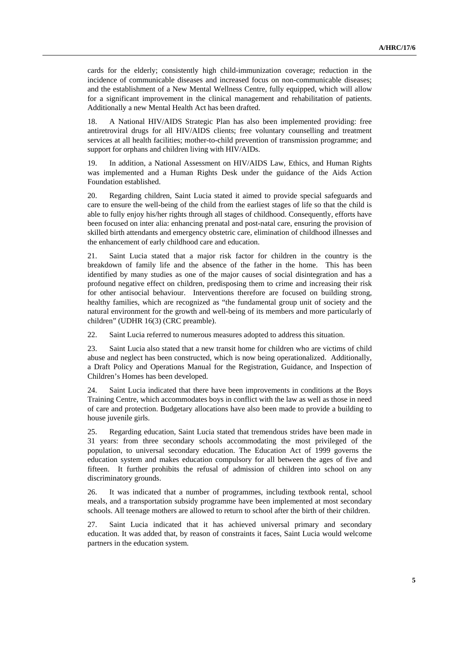cards for the elderly; consistently high child-immunization coverage; reduction in the incidence of communicable diseases and increased focus on non-communicable diseases; and the establishment of a New Mental Wellness Centre, fully equipped, which will allow for a significant improvement in the clinical management and rehabilitation of patients. Additionally a new Mental Health Act has been drafted.

18. A National HIV/AIDS Strategic Plan has also been implemented providing: free antiretroviral drugs for all HIV/AIDS clients; free voluntary counselling and treatment services at all health facilities; mother-to-child prevention of transmission programme; and support for orphans and children living with HIV/AIDs.

19. In addition, a National Assessment on HIV/AIDS Law, Ethics, and Human Rights was implemented and a Human Rights Desk under the guidance of the Aids Action Foundation established.

20. Regarding children, Saint Lucia stated it aimed to provide special safeguards and care to ensure the well-being of the child from the earliest stages of life so that the child is able to fully enjoy his/her rights through all stages of childhood. Consequently, efforts have been focused on inter alia: enhancing prenatal and post-natal care, ensuring the provision of skilled birth attendants and emergency obstetric care, elimination of childhood illnesses and the enhancement of early childhood care and education.

21. Saint Lucia stated that a major risk factor for children in the country is the breakdown of family life and the absence of the father in the home. This has been identified by many studies as one of the major causes of social disintegration and has a profound negative effect on children, predisposing them to crime and increasing their risk for other antisocial behaviour. Interventions therefore are focused on building strong, healthy families, which are recognized as "the fundamental group unit of society and the natural environment for the growth and well-being of its members and more particularly of children" (UDHR 16(3) (CRC preamble).

22. Saint Lucia referred to numerous measures adopted to address this situation.

23. Saint Lucia also stated that a new transit home for children who are victims of child abuse and neglect has been constructed, which is now being operationalized. Additionally, a Draft Policy and Operations Manual for the Registration, Guidance, and Inspection of Children's Homes has been developed.

24. Saint Lucia indicated that there have been improvements in conditions at the Boys Training Centre, which accommodates boys in conflict with the law as well as those in need of care and protection. Budgetary allocations have also been made to provide a building to house juvenile girls.

25. Regarding education, Saint Lucia stated that tremendous strides have been made in 31 years: from three secondary schools accommodating the most privileged of the population, to universal secondary education. The Education Act of 1999 governs the education system and makes education compulsory for all between the ages of five and fifteen. It further prohibits the refusal of admission of children into school on any discriminatory grounds.

26. It was indicated that a number of programmes, including textbook rental, school meals, and a transportation subsidy programme have been implemented at most secondary schools. All teenage mothers are allowed to return to school after the birth of their children.

27. Saint Lucia indicated that it has achieved universal primary and secondary education. It was added that, by reason of constraints it faces, Saint Lucia would welcome partners in the education system.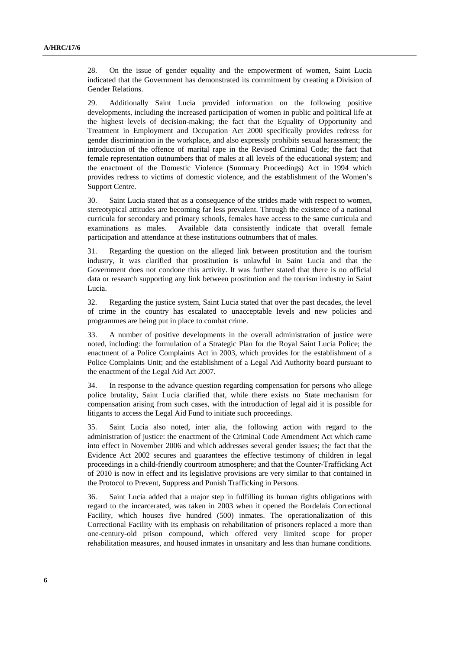28. On the issue of gender equality and the empowerment of women, Saint Lucia indicated that the Government has demonstrated its commitment by creating a Division of Gender Relations.

29. Additionally Saint Lucia provided information on the following positive developments, including the increased participation of women in public and political life at the highest levels of decision-making; the fact that the Equality of Opportunity and Treatment in Employment and Occupation Act 2000 specifically provides redress for gender discrimination in the workplace, and also expressly prohibits sexual harassment; the introduction of the offence of marital rape in the Revised Criminal Code; the fact that female representation outnumbers that of males at all levels of the educational system; and the enactment of the Domestic Violence (Summary Proceedings) Act in 1994 which provides redress to victims of domestic violence, and the establishment of the Women's Support Centre.

30. Saint Lucia stated that as a consequence of the strides made with respect to women, stereotypical attitudes are becoming far less prevalent. Through the existence of a national curricula for secondary and primary schools, females have access to the same curricula and examinations as males. Available data consistently indicate that overall female participation and attendance at these institutions outnumbers that of males.

31. Regarding the question on the alleged link between prostitution and the tourism industry, it was clarified that prostitution is unlawful in Saint Lucia and that the Government does not condone this activity. It was further stated that there is no official data or research supporting any link between prostitution and the tourism industry in Saint Lucia.

32. Regarding the justice system, Saint Lucia stated that over the past decades, the level of crime in the country has escalated to unacceptable levels and new policies and programmes are being put in place to combat crime.

33. A number of positive developments in the overall administration of justice were noted, including: the formulation of a Strategic Plan for the Royal Saint Lucia Police; the enactment of a Police Complaints Act in 2003, which provides for the establishment of a Police Complaints Unit; and the establishment of a Legal Aid Authority board pursuant to the enactment of the Legal Aid Act 2007.

34. In response to the advance question regarding compensation for persons who allege police brutality, Saint Lucia clarified that, while there exists no State mechanism for compensation arising from such cases, with the introduction of legal aid it is possible for litigants to access the Legal Aid Fund to initiate such proceedings.

35. Saint Lucia also noted, inter alia, the following action with regard to the administration of justice: the enactment of the Criminal Code Amendment Act which came into effect in November 2006 and which addresses several gender issues; the fact that the Evidence Act 2002 secures and guarantees the effective testimony of children in legal proceedings in a child-friendly courtroom atmosphere; and that the Counter-Trafficking Act of 2010 is now in effect and its legislative provisions are very similar to that contained in the Protocol to Prevent, Suppress and Punish Trafficking in Persons.

36. Saint Lucia added that a major step in fulfilling its human rights obligations with regard to the incarcerated, was taken in 2003 when it opened the Bordelais Correctional Facility, which houses five hundred (500) inmates. The operationalization of this Correctional Facility with its emphasis on rehabilitation of prisoners replaced a more than one-century-old prison compound, which offered very limited scope for proper rehabilitation measures, and housed inmates in unsanitary and less than humane conditions.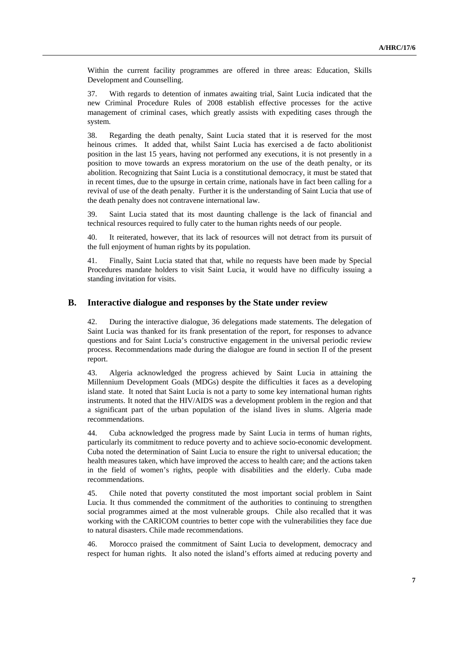Within the current facility programmes are offered in three areas: Education, Skills Development and Counselling.

37. With regards to detention of inmates awaiting trial, Saint Lucia indicated that the new Criminal Procedure Rules of 2008 establish effective processes for the active management of criminal cases, which greatly assists with expediting cases through the system.

38. Regarding the death penalty, Saint Lucia stated that it is reserved for the most heinous crimes. It added that, whilst Saint Lucia has exercised a de facto abolitionist position in the last 15 years, having not performed any executions, it is not presently in a position to move towards an express moratorium on the use of the death penalty, or its abolition. Recognizing that Saint Lucia is a constitutional democracy, it must be stated that in recent times, due to the upsurge in certain crime, nationals have in fact been calling for a revival of use of the death penalty. Further it is the understanding of Saint Lucia that use of the death penalty does not contravene international law.

39. Saint Lucia stated that its most daunting challenge is the lack of financial and technical resources required to fully cater to the human rights needs of our people.

40. It reiterated, however, that its lack of resources will not detract from its pursuit of the full enjoyment of human rights by its population.

41. Finally, Saint Lucia stated that that, while no requests have been made by Special Procedures mandate holders to visit Saint Lucia, it would have no difficulty issuing a standing invitation for visits.

#### **B. Interactive dialogue and responses by the State under review**

42. During the interactive dialogue, 36 delegations made statements. The delegation of Saint Lucia was thanked for its frank presentation of the report, for responses to advance questions and for Saint Lucia's constructive engagement in the universal periodic review process. Recommendations made during the dialogue are found in section II of the present report.

43. Algeria acknowledged the progress achieved by Saint Lucia in attaining the Millennium Development Goals (MDGs) despite the difficulties it faces as a developing island state. It noted that Saint Lucia is not a party to some key international human rights instruments. It noted that the HIV/AIDS was a development problem in the region and that a significant part of the urban population of the island lives in slums. Algeria made recommendations.

44. Cuba acknowledged the progress made by Saint Lucia in terms of human rights, particularly its commitment to reduce poverty and to achieve socio-economic development. Cuba noted the determination of Saint Lucia to ensure the right to universal education; the health measures taken, which have improved the access to health care; and the actions taken in the field of women's rights, people with disabilities and the elderly. Cuba made recommendations.

45. Chile noted that poverty constituted the most important social problem in Saint Lucia. It thus commended the commitment of the authorities to continuing to strengthen social programmes aimed at the most vulnerable groups. Chile also recalled that it was working with the CARICOM countries to better cope with the vulnerabilities they face due to natural disasters. Chile made recommendations.

46. Morocco praised the commitment of Saint Lucia to development, democracy and respect for human rights. It also noted the island's efforts aimed at reducing poverty and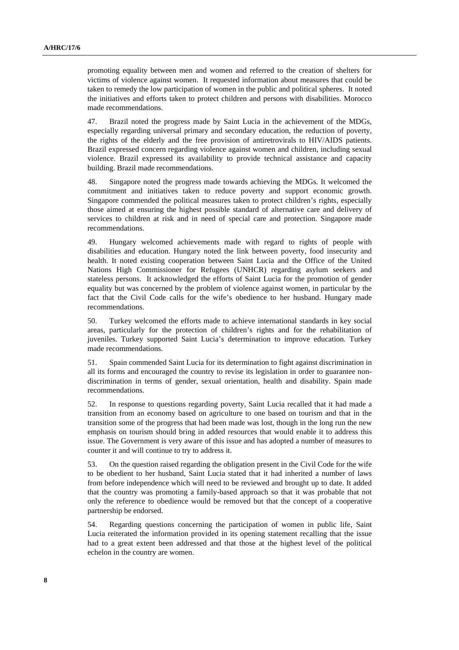promoting equality between men and women and referred to the creation of shelters for victims of violence against women. It requested information about measures that could be taken to remedy the low participation of women in the public and political spheres. It noted the initiatives and efforts taken to protect children and persons with disabilities. Morocco made recommendations.

47. Brazil noted the progress made by Saint Lucia in the achievement of the MDGs, especially regarding universal primary and secondary education, the reduction of poverty, the rights of the elderly and the free provision of antiretrovirals to HIV/AIDS patients. Brazil expressed concern regarding violence against women and children, including sexual violence. Brazil expressed its availability to provide technical assistance and capacity building. Brazil made recommendations.

48. Singapore noted the progress made towards achieving the MDGs. It welcomed the commitment and initiatives taken to reduce poverty and support economic growth. Singapore commended the political measures taken to protect children's rights, especially those aimed at ensuring the highest possible standard of alternative care and delivery of services to children at risk and in need of special care and protection. Singapore made recommendations.

49. Hungary welcomed achievements made with regard to rights of people with disabilities and education. Hungary noted the link between poverty, food insecurity and health. It noted existing cooperation between Saint Lucia and the Office of the United Nations High Commissioner for Refugees (UNHCR) regarding asylum seekers and stateless persons. It acknowledged the efforts of Saint Lucia for the promotion of gender equality but was concerned by the problem of violence against women, in particular by the fact that the Civil Code calls for the wife's obedience to her husband. Hungary made recommendations.

50. Turkey welcomed the efforts made to achieve international standards in key social areas, particularly for the protection of children's rights and for the rehabilitation of juveniles. Turkey supported Saint Lucia's determination to improve education. Turkey made recommendations.

51. Spain commended Saint Lucia for its determination to fight against discrimination in all its forms and encouraged the country to revise its legislation in order to guarantee nondiscrimination in terms of gender, sexual orientation, health and disability. Spain made recommendations.

52. In response to questions regarding poverty, Saint Lucia recalled that it had made a transition from an economy based on agriculture to one based on tourism and that in the transition some of the progress that had been made was lost, though in the long run the new emphasis on tourism should bring in added resources that would enable it to address this issue. The Government is very aware of this issue and has adopted a number of measures to counter it and will continue to try to address it.

53. On the question raised regarding the obligation present in the Civil Code for the wife to be obedient to her husband, Saint Lucia stated that it had inherited a number of laws from before independence which will need to be reviewed and brought up to date. It added that the country was promoting a family-based approach so that it was probable that not only the reference to obedience would be removed but that the concept of a cooperative partnership be endorsed.

54. Regarding questions concerning the participation of women in public life, Saint Lucia reiterated the information provided in its opening statement recalling that the issue had to a great extent been addressed and that those at the highest level of the political echelon in the country are women.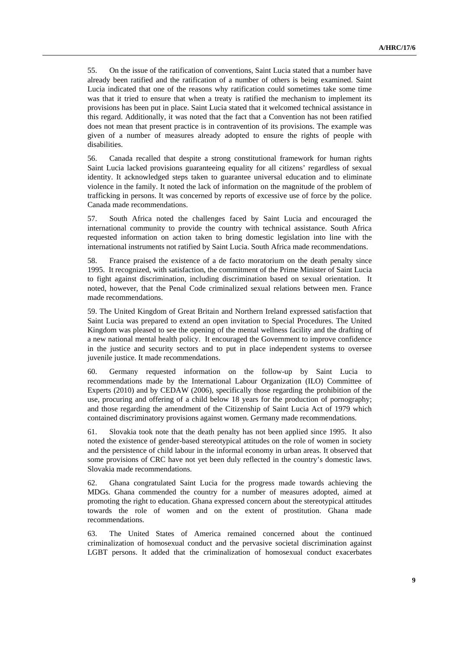55. On the issue of the ratification of conventions, Saint Lucia stated that a number have already been ratified and the ratification of a number of others is being examined. Saint Lucia indicated that one of the reasons why ratification could sometimes take some time was that it tried to ensure that when a treaty is ratified the mechanism to implement its provisions has been put in place. Saint Lucia stated that it welcomed technical assistance in this regard. Additionally, it was noted that the fact that a Convention has not been ratified does not mean that present practice is in contravention of its provisions. The example was given of a number of measures already adopted to ensure the rights of people with disabilities.

56. Canada recalled that despite a strong constitutional framework for human rights Saint Lucia lacked provisions guaranteeing equality for all citizens' regardless of sexual identity. It acknowledged steps taken to guarantee universal education and to eliminate violence in the family. It noted the lack of information on the magnitude of the problem of trafficking in persons. It was concerned by reports of excessive use of force by the police. Canada made recommendations.

57. South Africa noted the challenges faced by Saint Lucia and encouraged the international community to provide the country with technical assistance. South Africa requested information on action taken to bring domestic legislation into line with the international instruments not ratified by Saint Lucia. South Africa made recommendations.

58. France praised the existence of a de facto moratorium on the death penalty since 1995. It recognized, with satisfaction, the commitment of the Prime Minister of Saint Lucia to fight against discrimination, including discrimination based on sexual orientation. It noted, however, that the Penal Code criminalized sexual relations between men. France made recommendations.

59. The United Kingdom of Great Britain and Northern Ireland expressed satisfaction that Saint Lucia was prepared to extend an open invitation to Special Procedures. The United Kingdom was pleased to see the opening of the mental wellness facility and the drafting of a new national mental health policy. It encouraged the Government to improve confidence in the justice and security sectors and to put in place independent systems to oversee juvenile justice. It made recommendations.

60. Germany requested information on the follow-up by Saint Lucia to recommendations made by the International Labour Organization (ILO) Committee of Experts (2010) and by CEDAW (2006), specifically those regarding the prohibition of the use, procuring and offering of a child below 18 years for the production of pornography; and those regarding the amendment of the Citizenship of Saint Lucia Act of 1979 which contained discriminatory provisions against women. Germany made recommendations.

61. Slovakia took note that the death penalty has not been applied since 1995. It also noted the existence of gender-based stereotypical attitudes on the role of women in society and the persistence of child labour in the informal economy in urban areas. It observed that some provisions of CRC have not yet been duly reflected in the country's domestic laws. Slovakia made recommendations.

62. Ghana congratulated Saint Lucia for the progress made towards achieving the MDGs. Ghana commended the country for a number of measures adopted, aimed at promoting the right to education. Ghana expressed concern about the stereotypical attitudes towards the role of women and on the extent of prostitution. Ghana made recommendations.

63. The United States of America remained concerned about the continued criminalization of homosexual conduct and the pervasive societal discrimination against LGBT persons. It added that the criminalization of homosexual conduct exacerbates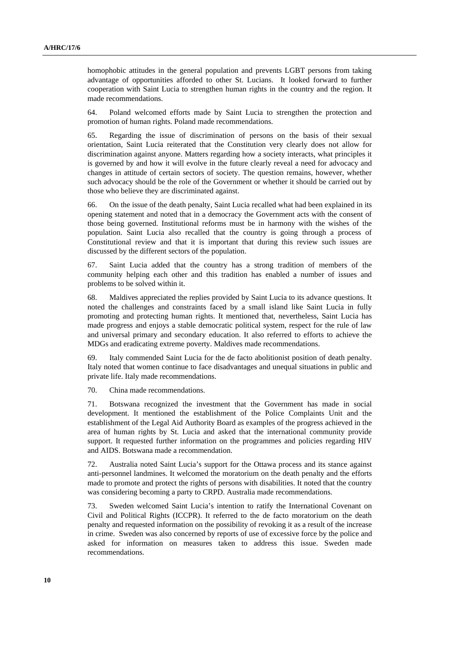homophobic attitudes in the general population and prevents LGBT persons from taking advantage of opportunities afforded to other St. Lucians. It looked forward to further cooperation with Saint Lucia to strengthen human rights in the country and the region. It made recommendations.

64. Poland welcomed efforts made by Saint Lucia to strengthen the protection and promotion of human rights. Poland made recommendations.

65. Regarding the issue of discrimination of persons on the basis of their sexual orientation, Saint Lucia reiterated that the Constitution very clearly does not allow for discrimination against anyone. Matters regarding how a society interacts, what principles it is governed by and how it will evolve in the future clearly reveal a need for advocacy and changes in attitude of certain sectors of society. The question remains, however, whether such advocacy should be the role of the Government or whether it should be carried out by those who believe they are discriminated against.

66. On the issue of the death penalty, Saint Lucia recalled what had been explained in its opening statement and noted that in a democracy the Government acts with the consent of those being governed. Institutional reforms must be in harmony with the wishes of the population. Saint Lucia also recalled that the country is going through a process of Constitutional review and that it is important that during this review such issues are discussed by the different sectors of the population.

67. Saint Lucia added that the country has a strong tradition of members of the community helping each other and this tradition has enabled a number of issues and problems to be solved within it.

68. Maldives appreciated the replies provided by Saint Lucia to its advance questions. It noted the challenges and constraints faced by a small island like Saint Lucia in fully promoting and protecting human rights. It mentioned that, nevertheless, Saint Lucia has made progress and enjoys a stable democratic political system, respect for the rule of law and universal primary and secondary education. It also referred to efforts to achieve the MDGs and eradicating extreme poverty. Maldives made recommendations.

69. Italy commended Saint Lucia for the de facto abolitionist position of death penalty. Italy noted that women continue to face disadvantages and unequal situations in public and private life. Italy made recommendations.

70. China made recommendations.

71. Botswana recognized the investment that the Government has made in social development. It mentioned the establishment of the Police Complaints Unit and the establishment of the Legal Aid Authority Board as examples of the progress achieved in the area of human rights by St. Lucia and asked that the international community provide support. It requested further information on the programmes and policies regarding HIV and AIDS. Botswana made a recommendation.

72. Australia noted Saint Lucia's support for the Ottawa process and its stance against anti-personnel landmines. It welcomed the moratorium on the death penalty and the efforts made to promote and protect the rights of persons with disabilities. It noted that the country was considering becoming a party to CRPD. Australia made recommendations.

73. Sweden welcomed Saint Lucia's intention to ratify the International Covenant on Civil and Political Rights (ICCPR). It referred to the de facto moratorium on the death penalty and requested information on the possibility of revoking it as a result of the increase in crime. Sweden was also concerned by reports of use of excessive force by the police and asked for information on measures taken to address this issue. Sweden made recommendations.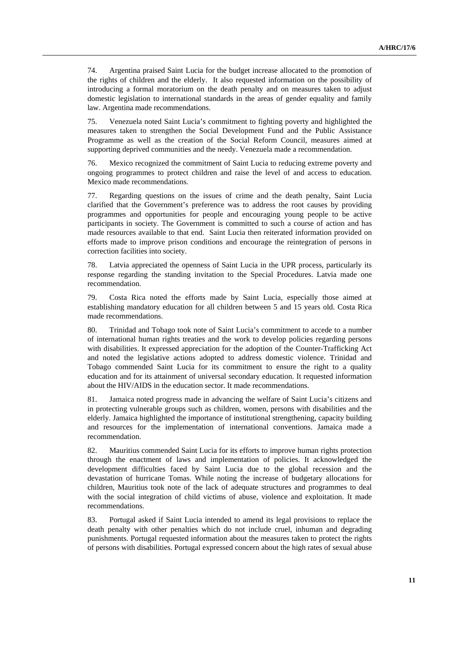74. Argentina praised Saint Lucia for the budget increase allocated to the promotion of the rights of children and the elderly. It also requested information on the possibility of introducing a formal moratorium on the death penalty and on measures taken to adjust domestic legislation to international standards in the areas of gender equality and family law. Argentina made recommendations.

75. Venezuela noted Saint Lucia's commitment to fighting poverty and highlighted the measures taken to strengthen the Social Development Fund and the Public Assistance Programme as well as the creation of the Social Reform Council, measures aimed at supporting deprived communities and the needy. Venezuela made a recommendation.

76. Mexico recognized the commitment of Saint Lucia to reducing extreme poverty and ongoing programmes to protect children and raise the level of and access to education. Mexico made recommendations.

77. Regarding questions on the issues of crime and the death penalty, Saint Lucia clarified that the Government's preference was to address the root causes by providing programmes and opportunities for people and encouraging young people to be active participants in society. The Government is committed to such a course of action and has made resources available to that end. Saint Lucia then reiterated information provided on efforts made to improve prison conditions and encourage the reintegration of persons in correction facilities into society.

78. Latvia appreciated the openness of Saint Lucia in the UPR process, particularly its response regarding the standing invitation to the Special Procedures. Latvia made one recommendation.

79. Costa Rica noted the efforts made by Saint Lucia, especially those aimed at establishing mandatory education for all children between 5 and 15 years old. Costa Rica made recommendations.

80. Trinidad and Tobago took note of Saint Lucia's commitment to accede to a number of international human rights treaties and the work to develop policies regarding persons with disabilities. It expressed appreciation for the adoption of the Counter-Trafficking Act and noted the legislative actions adopted to address domestic violence. Trinidad and Tobago commended Saint Lucia for its commitment to ensure the right to a quality education and for its attainment of universal secondary education. It requested information about the HIV/AIDS in the education sector. It made recommendations.

81. Jamaica noted progress made in advancing the welfare of Saint Lucia's citizens and in protecting vulnerable groups such as children, women, persons with disabilities and the elderly. Jamaica highlighted the importance of institutional strengthening, capacity building and resources for the implementation of international conventions. Jamaica made a recommendation.

82. Mauritius commended Saint Lucia for its efforts to improve human rights protection through the enactment of laws and implementation of policies. It acknowledged the development difficulties faced by Saint Lucia due to the global recession and the devastation of hurricane Tomas. While noting the increase of budgetary allocations for children, Mauritius took note of the lack of adequate structures and programmes to deal with the social integration of child victims of abuse, violence and exploitation. It made recommendations.

83. Portugal asked if Saint Lucia intended to amend its legal provisions to replace the death penalty with other penalties which do not include cruel, inhuman and degrading punishments. Portugal requested information about the measures taken to protect the rights of persons with disabilities. Portugal expressed concern about the high rates of sexual abuse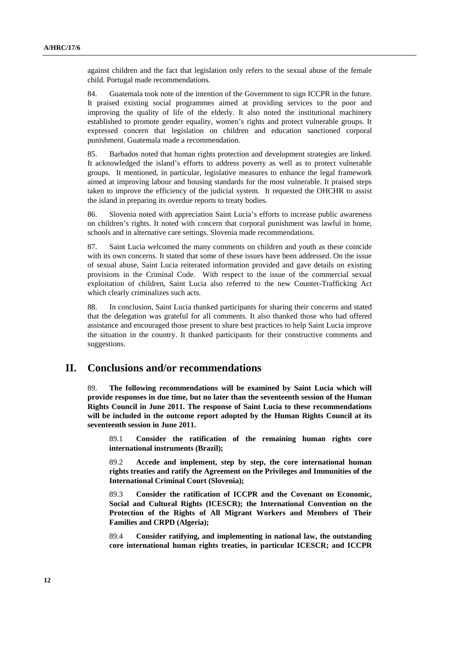against children and the fact that legislation only refers to the sexual abuse of the female child. Portugal made recommendations.

84. Guatemala took note of the intention of the Government to sign ICCPR in the future. It praised existing social programmes aimed at providing services to the poor and improving the quality of life of the elderly. It also noted the institutional machinery established to promote gender equality, women's rights and protect vulnerable groups. It expressed concern that legislation on children and education sanctioned corporal punishment. Guatemala made a recommendation.

85. Barbados noted that human rights protection and development strategies are linked. It acknowledged the island's efforts to address poverty as well as to protect vulnerable groups. It mentioned, in particular, legislative measures to enhance the legal framework aimed at improving labour and housing standards for the most vulnerable. It praised steps taken to improve the efficiency of the judicial system. It requested the OHCHR to assist the island in preparing its overdue reports to treaty bodies.

86. Slovenia noted with appreciation Saint Lucia's efforts to increase public awareness on children's rights. It noted with concern that corporal punishment was lawful in home, schools and in alternative care settings. Slovenia made recommendations.

87. Saint Lucia welcomed the many comments on children and youth as these coincide with its own concerns. It stated that some of these issues have been addressed. On the issue of sexual abuse, Saint Lucia reiterated information provided and gave details on existing provisions in the Criminal Code. With respect to the issue of the commercial sexual exploitation of children, Saint Lucia also referred to the new Counter-Trafficking Act which clearly criminalizes such acts.

88. In conclusion, Saint Lucia thanked participants for sharing their concerns and stated that the delegation was grateful for all comments. It also thanked those who had offered assistance and encouraged those present to share best practices to help Saint Lucia improve the situation in the country. It thanked participants for their constructive comments and suggestions.

### **II. Conclusions and/or recommendations**

89. **The following recommendations will be examined by Saint Lucia which will provide responses in due time, but no later than the seventeenth session of the Human Rights Council in June 2011. The response of Saint Lucia to these recommendations will be included in the outcome report adopted by the Human Rights Council at its seventeenth session in June 2011.**

89.1 **Consider the ratification of the remaining human rights core international instruments (Brazil);**

89.2 **Accede and implement, step by step, the core international human rights treaties and ratify the Agreement on the Privileges and Immunities of the International Criminal Court (Slovenia);** 

89.3 **Consider the ratification of ICCPR and the Covenant on Economic, Social and Cultural Rights (ICESCR); the International Convention on the Protection of the Rights of All Migrant Workers and Members of Their Families and CRPD (Algeria);**

89.4 **Consider ratifying, and implementing in national law, the outstanding core international human rights treaties, in particular ICESCR; and ICCPR**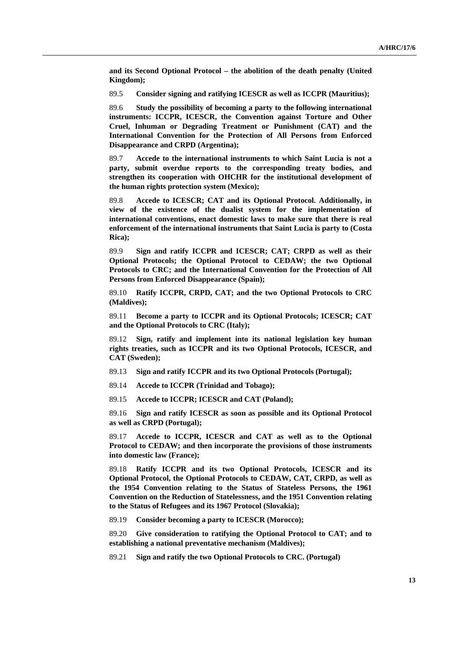**and its Second Optional Protocol – the abolition of the death penalty (United Kingdom);** 

89.5 **Consider signing and ratifying ICESCR as well as ICCPR (Mauritius);**

89.6 **Study the possibility of becoming a party to the following international instruments: ICCPR, ICESCR, the Convention against Torture and Other Cruel, Inhuman or Degrading Treatment or Punishment (CAT) and the International Convention for the Protection of All Persons from Enforced Disappearance and CRPD (Argentina);**

89.7 **Accede to the international instruments to which Saint Lucia is not a party, submit overdue reports to the corresponding treaty bodies, and strengthen its cooperation with OHCHR for the institutional development of the human rights protection system (Mexico);**

89.8 **Accede to ICESCR; CAT and its Optional Protocol. Additionally, in view of the existence of the dualist system for the implementation of international conventions, enact domestic laws to make sure that there is real enforcement of the international instruments that Saint Lucia is party to (Costa Rica);**

89.9 **Sign and ratify ICCPR and ICESCR; CAT; CRPD as well as their Optional Protocols; the Optional Protocol to CEDAW; the two Optional Protocols to CRC; and the International Convention for the Protection of All Persons from Enforced Disappearance (Spain);**

89.10 **Ratify ICCPR, CRPD, CAT; and the two Optional Protocols to CRC (Maldives);**

89.11 **Become a party to ICCPR and its Optional Protocols; ICESCR; CAT and the Optional Protocols to CRC (Italy);**

89.12 **Sign, ratify and implement into its national legislation key human rights treaties, such as ICCPR and its two Optional Protocols, ICESCR, and CAT (Sweden);**

- 89.13 **Sign and ratify ICCPR and its two Optional Protocols (Portugal);**
- 89.14 **Accede to ICCPR (Trinidad and Tobago);**
- 89.15 **Accede to ICCPR; ICESCR and CAT (Poland);**

89.16 **Sign and ratify ICESCR as soon as possible and its Optional Protocol as well as CRPD (Portugal);**

89.17 **Accede to ICCPR, ICESCR and CAT as well as to the Optional Protocol to CEDAW; and then incorporate the provisions of those instruments into domestic law (France);**

89.18 **Ratify ICCPR and its two Optional Protocols, ICESCR and its Optional Protocol, the Optional Protocols to CEDAW, CAT, CRPD, as well as the 1954 Convention relating to the Status of Stateless Persons, the 1961 Convention on the Reduction of Statelessness, and the 1951 Convention relating to the Status of Refugees and its 1967 Protocol (Slovakia);** 

89.19 **Consider becoming a party to ICESCR (Morocco);**

89.20 **Give consideration to ratifying the Optional Protocol to CAT; and to establishing a national preventative mechanism (Maldives);**

89.21 **Sign and ratify the two Optional Protocols to CRC. (Portugal)**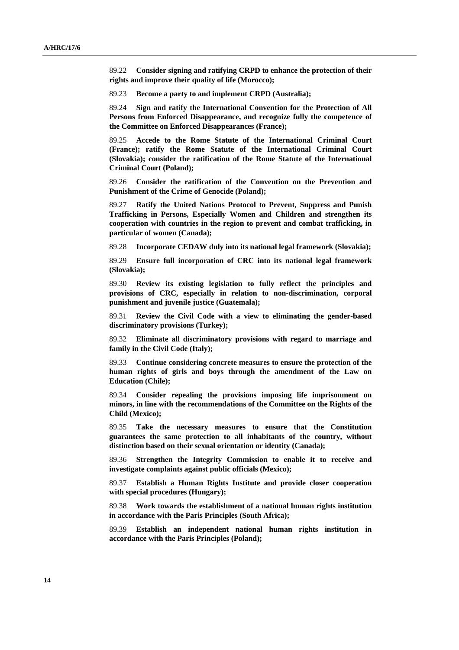89.22 **Consider signing and ratifying CRPD to enhance the protection of their rights and improve their quality of life (Morocco);**

89.23 **Become a party to and implement CRPD (Australia);**

89.24 **Sign and ratify the International Convention for the Protection of All Persons from Enforced Disappearance, and recognize fully the competence of the Committee on Enforced Disappearances (France);**

89.25 **Accede to the Rome Statute of the International Criminal Court (France); ratify the Rome Statute of the International Criminal Court (Slovakia); consider the ratification of the Rome Statute of the International Criminal Court (Poland);**

89.26 **Consider the ratification of the Convention on the Prevention and Punishment of the Crime of Genocide (Poland);**

89.27 **Ratify the United Nations Protocol to Prevent, Suppress and Punish Trafficking in Persons, Especially Women and Children and strengthen its cooperation with countries in the region to prevent and combat trafficking, in particular of women (Canada);**

89.28 **Incorporate CEDAW duly into its national legal framework (Slovakia);**

89.29 **Ensure full incorporation of CRC into its national legal framework (Slovakia);**

89.30 **Review its existing legislation to fully reflect the principles and provisions of CRC, especially in relation to non-discrimination, corporal punishment and juvenile justice (Guatemala);**

89.31 **Review the Civil Code with a view to eliminating the gender-based discriminatory provisions (Turkey);**

89.32 **Eliminate all discriminatory provisions with regard to marriage and family in the Civil Code (Italy);**

89.33 **Continue considering concrete measures to ensure the protection of the human rights of girls and boys through the amendment of the Law on Education (Chile);**

89.34 **Consider repealing the provisions imposing life imprisonment on minors, in line with the recommendations of the Committee on the Rights of the Child (Mexico);**

89.35 **Take the necessary measures to ensure that the Constitution guarantees the same protection to all inhabitants of the country, without distinction based on their sexual orientation or identity (Canada);**

89.36 **Strengthen the Integrity Commission to enable it to receive and investigate complaints against public officials (Mexico);**

89.37 **Establish a Human Rights Institute and provide closer cooperation with special procedures (Hungary);**

89.38 **Work towards the establishment of a national human rights institution in accordance with the Paris Principles (South Africa);**

89.39 **Establish an independent national human rights institution in accordance with the Paris Principles (Poland);**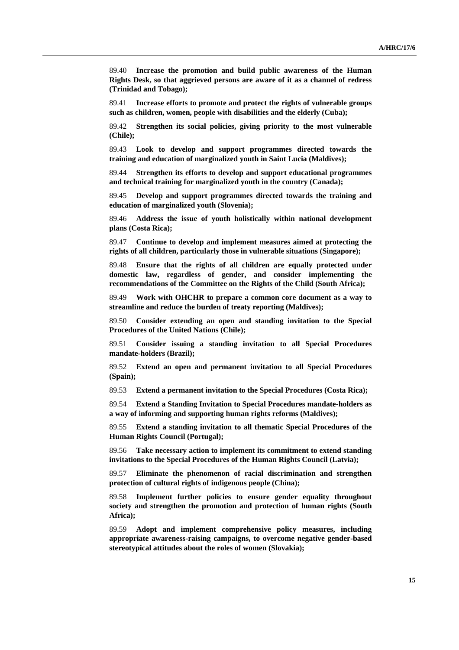89.40 **Increase the promotion and build public awareness of the Human Rights Desk, so that aggrieved persons are aware of it as a channel of redress (Trinidad and Tobago);**

89.41 **Increase efforts to promote and protect the rights of vulnerable groups such as children, women, people with disabilities and the elderly (Cuba);**

89.42 **Strengthen its social policies, giving priority to the most vulnerable (Chile);** 

89.43 **Look to develop and support programmes directed towards the training and education of marginalized youth in Saint Lucia (Maldives);**

89.44 **Strengthen its efforts to develop and support educational programmes and technical training for marginalized youth in the country (Canada);** 

89.45 **Develop and support programmes directed towards the training and education of marginalized youth (Slovenia);**

89.46 **Address the issue of youth holistically within national development plans (Costa Rica);**

89.47 **Continue to develop and implement measures aimed at protecting the rights of all children, particularly those in vulnerable situations (Singapore);**

89.48 **Ensure that the rights of all children are equally protected under domestic law, regardless of gender, and consider implementing the recommendations of the Committee on the Rights of the Child (South Africa);**

89.49 **Work with OHCHR to prepare a common core document as a way to streamline and reduce the burden of treaty reporting (Maldives);**

89.50 **Consider extending an open and standing invitation to the Special Procedures of the United Nations (Chile);**

89.51 **Consider issuing a standing invitation to all Special Procedures mandate-holders (Brazil);**

89.52 **Extend an open and permanent invitation to all Special Procedures (Spain);**

89.53 **Extend a permanent invitation to the Special Procedures (Costa Rica);**

89.54 **Extend a Standing Invitation to Special Procedures mandate-holders as a way of informing and supporting human rights reforms (Maldives);** 

89.55 **Extend a standing invitation to all thematic Special Procedures of the Human Rights Council (Portugal);**

89.56 **Take necessary action to implement its commitment to extend standing invitations to the Special Procedures of the Human Rights Council (Latvia);**

89.57 **Eliminate the phenomenon of racial discrimination and strengthen protection of cultural rights of indigenous people (China);**

89.58 **Implement further policies to ensure gender equality throughout society and strengthen the promotion and protection of human rights (South Africa);**

89.59 **Adopt and implement comprehensive policy measures, including appropriate awareness-raising campaigns, to overcome negative gender-based stereotypical attitudes about the roles of women (Slovakia);**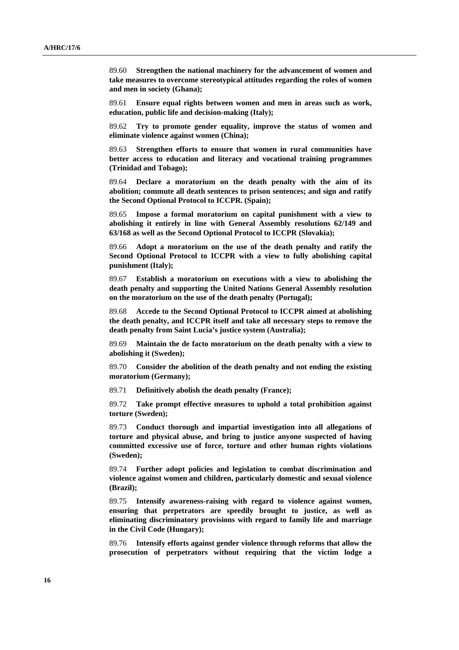89.60 **Strengthen the national machinery for the advancement of women and take measures to overcome stereotypical attitudes regarding the roles of women and men in society (Ghana);**

89.61 **Ensure equal rights between women and men in areas such as work, education, public life and decision-making (Italy);**

89.62 **Try to promote gender equality, improve the status of women and eliminate violence against women (China);**

89.63 **Strengthen efforts to ensure that women in rural communities have better access to education and literacy and vocational training programmes (Trinidad and Tobago);** 

89.64 **Declare a moratorium on the death penalty with the aim of its abolition; commute all death sentences to prison sentences; and sign and ratify the Second Optional Protocol to ICCPR. (Spain);** 

89.65 **Impose a formal moratorium on capital punishment with a view to abolishing it entirely in line with General Assembly resolutions 62/149 and 63/168 as well as the Second Optional Protocol to ICCPR (Slovakia);**

89.66 **Adopt a moratorium on the use of the death penalty and ratify the Second Optional Protocol to ICCPR with a view to fully abolishing capital punishment (Italy);**

89.67 **Establish a moratorium on executions with a view to abolishing the death penalty and supporting the United Nations General Assembly resolution on the moratorium on the use of the death penalty (Portugal);**

89.68 **Accede to the Second Optional Protocol to ICCPR aimed at abolishing the death penalty, and ICCPR itself and take all necessary steps to remove the death penalty from Saint Lucia's justice system (Australia);**

89.69 **Maintain the de facto moratorium on the death penalty with a view to abolishing it (Sweden);**

89.70 **Consider the abolition of the death penalty and not ending the existing moratorium (Germany);**

89.71 **Definitively abolish the death penalty (France);**

89.72 **Take prompt effective measures to uphold a total prohibition against torture (Sweden);** 

89.73 **Conduct thorough and impartial investigation into all allegations of torture and physical abuse, and bring to justice anyone suspected of having committed excessive use of force, torture and other human rights violations (Sweden);**

89.74 **Further adopt policies and legislation to combat discrimination and violence against women and children, particularly domestic and sexual violence (Brazil);**

89.75 **Intensify awareness-raising with regard to violence against women, ensuring that perpetrators are speedily brought to justice, as well as eliminating discriminatory provisions with regard to family life and marriage in the Civil Code (Hungary);** 

89.76 **Intensify efforts against gender violence through reforms that allow the prosecution of perpetrators without requiring that the victim lodge a**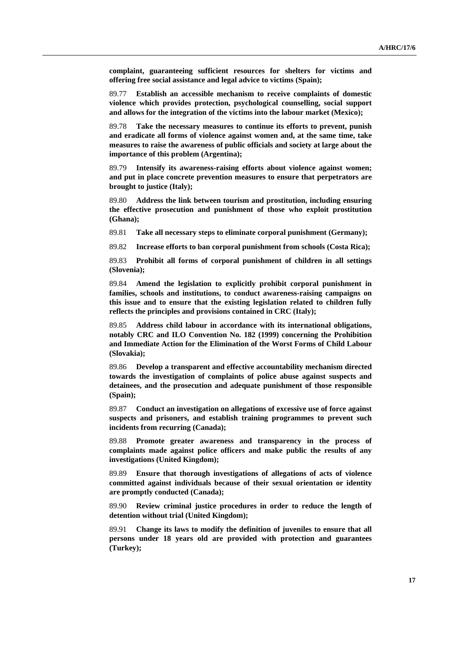**complaint, guaranteeing sufficient resources for shelters for victims and offering free social assistance and legal advice to victims (Spain);**

89.77 **Establish an accessible mechanism to receive complaints of domestic violence which provides protection, psychological counselling, social support and allows for the integration of the victims into the labour market (Mexico);**

89.78 **Take the necessary measures to continue its efforts to prevent, punish and eradicate all forms of violence against women and, at the same time, take measures to raise the awareness of public officials and society at large about the importance of this problem (Argentina);**

89.79 **Intensify its awareness-raising efforts about violence against women; and put in place concrete prevention measures to ensure that perpetrators are brought to justice (Italy);**

89.80 **Address the link between tourism and prostitution, including ensuring the effective prosecution and punishment of those who exploit prostitution (Ghana);**

89.81 **Take all necessary steps to eliminate corporal punishment (Germany);**

89.82 **Increase efforts to ban corporal punishment from schools (Costa Rica);**

89.83 **Prohibit all forms of corporal punishment of children in all settings (Slovenia);**

89.84 **Amend the legislation to explicitly prohibit corporal punishment in families, schools and institutions, to conduct awareness-raising campaigns on this issue and to ensure that the existing legislation related to children fully reflects the principles and provisions contained in CRC (Italy);**

89.85 **Address child labour in accordance with its international obligations, notably CRC and ILO Convention No. 182 (1999) concerning the Prohibition and Immediate Action for the Elimination of the Worst Forms of Child Labour (Slovakia);**

89.86 **Develop a transparent and effective accountability mechanism directed towards the investigation of complaints of police abuse against suspects and detainees, and the prosecution and adequate punishment of those responsible (Spain);**

89.87 **Conduct an investigation on allegations of excessive use of force against suspects and prisoners, and establish training programmes to prevent such incidents from recurring (Canada);**

89.88 **Promote greater awareness and transparency in the process of complaints made against police officers and make public the results of any investigations (United Kingdom);**

89.89 **Ensure that thorough investigations of allegations of acts of violence committed against individuals because of their sexual orientation or identity are promptly conducted (Canada);**

89.90 **Review criminal justice procedures in order to reduce the length of detention without trial (United Kingdom);**

89.91 **Change its laws to modify the definition of juveniles to ensure that all persons under 18 years old are provided with protection and guarantees (Turkey);**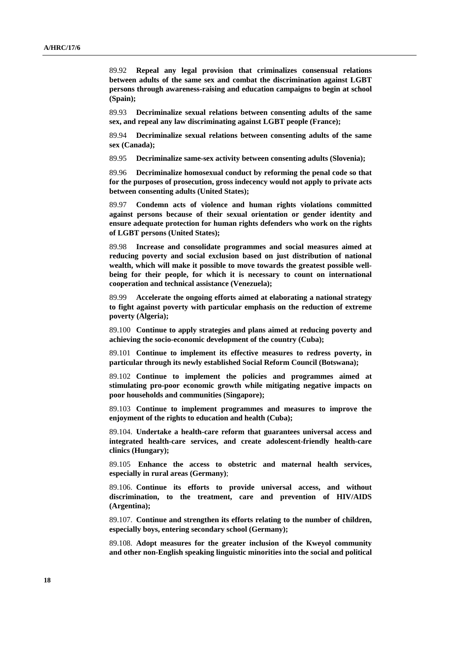89.92 **Repeal any legal provision that criminalizes consensual relations between adults of the same sex and combat the discrimination against LGBT persons through awareness-raising and education campaigns to begin at school (Spain);**

89.93 **Decriminalize sexual relations between consenting adults of the same sex, and repeal any law discriminating against LGBT people (France);**

89.94 **Decriminalize sexual relations between consenting adults of the same sex (Canada);** 

89.95 **Decriminalize same-sex activity between consenting adults (Slovenia);**

89.96 **Decriminalize homosexual conduct by reforming the penal code so that for the purposes of prosecution, gross indecency would not apply to private acts between consenting adults (United States);**

89.97 **Condemn acts of violence and human rights violations committed against persons because of their sexual orientation or gender identity and ensure adequate protection for human rights defenders who work on the rights of LGBT persons (United States);**

89.98 **Increase and consolidate programmes and social measures aimed at reducing poverty and social exclusion based on just distribution of national wealth, which will make it possible to move towards the greatest possible wellbeing for their people, for which it is necessary to count on international cooperation and technical assistance (Venezuela);**

89.99 **Accelerate the ongoing efforts aimed at elaborating a national strategy to fight against poverty with particular emphasis on the reduction of extreme poverty (Algeria);**

89.100 **Continue to apply strategies and plans aimed at reducing poverty and achieving the socio-economic development of the country (Cuba);**

89.101 **Continue to implement its effective measures to redress poverty, in particular through its newly established Social Reform Council (Botswana);**

89.102 **Continue to implement the policies and programmes aimed at stimulating pro-poor economic growth while mitigating negative impacts on poor households and communities (Singapore);**

89.103 **Continue to implement programmes and measures to improve the enjoyment of the rights to education and health (Cuba);**

89.104. **Undertake a health-care reform that guarantees universal access and integrated health-care services, and create adolescent-friendly health-care clinics (Hungary);** 

89.105 **Enhance the access to obstetric and maternal health services, especially in rural areas (Germany)**;

89.106. **Continue its efforts to provide universal access, and without discrimination, to the treatment, care and prevention of HIV/AIDS (Argentina);**

89.107. **Continue and strengthen its efforts relating to the number of children, especially boys, entering secondary school (Germany);** 

89.108. **Adopt measures for the greater inclusion of the Kweyol community and other non-English speaking linguistic minorities into the social and political**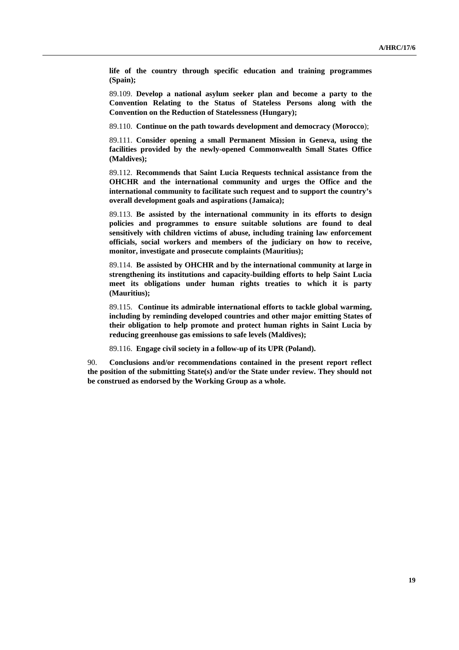**life of the country through specific education and training programmes (Spain);**

89.109. **Develop a national asylum seeker plan and become a party to the Convention Relating to the Status of Stateless Persons along with the Convention on the Reduction of Statelessness (Hungary);** 

89.110. **Continue on the path towards development and democracy (Morocco**);

89.111. **Consider opening a small Permanent Mission in Geneva, using the facilities provided by the newly-opened Commonwealth Small States Office (Maldives);** 

89.112. **Recommends that Saint Lucia Requests technical assistance from the OHCHR and the international community and urges the Office and the international community to facilitate such request and to support the country's overall development goals and aspirations (Jamaica);**

89.113. **Be assisted by the international community in its efforts to design policies and programmes to ensure suitable solutions are found to deal sensitively with children victims of abuse, including training law enforcement officials, social workers and members of the judiciary on how to receive, monitor, investigate and prosecute complaints (Mauritius);**

89.114. **Be assisted by OHCHR and by the international community at large in strengthening its institutions and capacity-building efforts to help Saint Lucia meet its obligations under human rights treaties to which it is party (Mauritius);**

89.115. **Continue its admirable international efforts to tackle global warming, including by reminding developed countries and other major emitting States of their obligation to help promote and protect human rights in Saint Lucia by reducing greenhouse gas emissions to safe levels (Maldives);**

89.116. **Engage civil society in a follow-up of its UPR (Poland).** 

90. **Conclusions and/or recommendations contained in the present report reflect the position of the submitting State(s) and/or the State under review. They should not be construed as endorsed by the Working Group as a whole.**